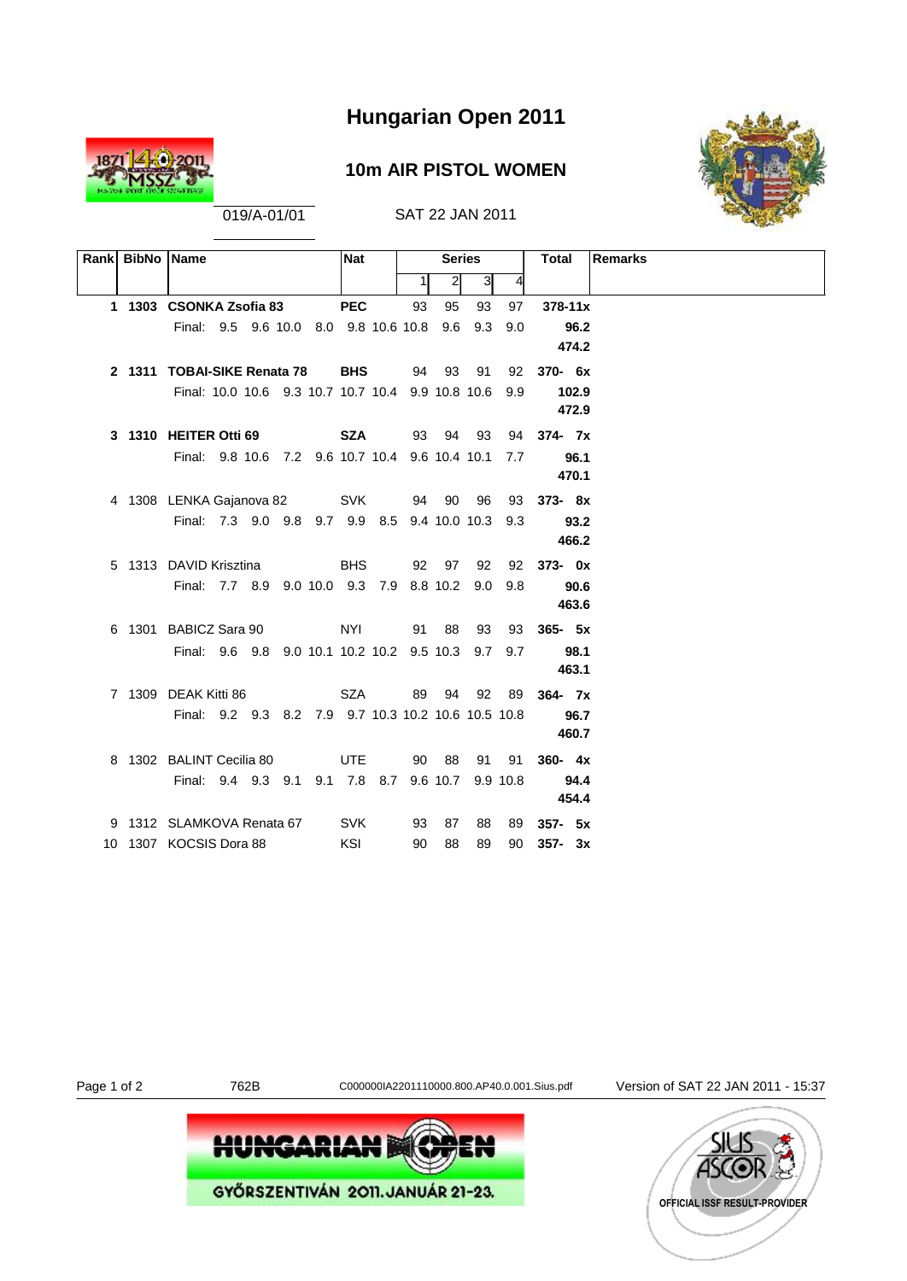

### **10m AIR PISTOL WOMEN**



019/A-01/01 SAT 22 JAN 2011

| Rank BibNo Name |                                                     |  |  | <b>Nat</b> |    | <b>Series</b>    |                |     | Total       | <b>Remarks</b> |
|-----------------|-----------------------------------------------------|--|--|------------|----|------------------|----------------|-----|-------------|----------------|
|                 |                                                     |  |  |            |    | $\overline{2}$   | 3 <sup>l</sup> | 4   |             |                |
|                 | 1 1303 CSONKA Zsofia 83                             |  |  | <b>PEC</b> | 93 | 95               | 93             | 97  | $378 - 11x$ |                |
|                 | Final: 9.5 9.6 10.0 8.0 9.8 10.6 10.8 9.6 9.3       |  |  |            |    |                  |                | 9.0 | 96.2        |                |
|                 |                                                     |  |  |            |    |                  |                |     | 474.2       |                |
|                 | 2 1311 TOBAI-SIKE Renata 78                         |  |  | <b>BHS</b> |    | 94 93 91         |                | 92  | $370 - 6x$  |                |
|                 | Final: 10.0 10.6 9.3 10.7 10.7 10.4 9.9 10.8 10.6   |  |  |            |    |                  |                | 9.9 | 102.9       |                |
|                 |                                                     |  |  |            |    |                  |                |     | 472.9       |                |
|                 | 3 1310 HEITER Otti 69                               |  |  |            |    | <b>SZA</b> 93 94 | 93             |     | 94 374 - 7x |                |
|                 | Final: 9.8 10.6 7.2 9.6 10.7 10.4 9.6 10.4 10.1     |  |  |            |    |                  |                | 7.7 | 96.1        |                |
|                 |                                                     |  |  |            |    |                  |                |     | 470.1       |                |
|                 | 4 1308 LENKA Gajanova 82                            |  |  | <b>SVK</b> |    | 94 90            | 96             | 93  | $373 - 8x$  |                |
|                 | Final: 7.3 9.0 9.8 9.7 9.9 8.5 9.4 10.0 10.3 9.3    |  |  |            |    |                  |                |     | 93.2        |                |
|                 |                                                     |  |  |            |    |                  |                |     | 466.2       |                |
|                 | 5 1313 DAVID Krisztina                              |  |  | <b>BHS</b> |    | 92 97            | 92             |     | 92 373- 0x  |                |
|                 | Final: 7.7 8.9 9.0 10.0 9.3 7.9 8.8 10.2 9.0        |  |  |            |    |                  |                | 9.8 | 90.6        |                |
|                 |                                                     |  |  |            |    |                  |                |     | 463.6       |                |
|                 | 6 1301 BABICZ Sara 90                               |  |  | NYI        |    | 91 88            | 93             | 93  | $365 - 5x$  |                |
|                 | Final: 9.6 9.8 9.0 10.1 10.2 10.2 9.5 10.3 9.7 9.7  |  |  |            |    |                  |                |     | 98.1        |                |
|                 |                                                     |  |  |            |    |                  |                |     | 463.1       |                |
|                 | 7 1309 DEAK Kitti 86                                |  |  | SZA        |    | 89 94            | 92             | 89  | $364 - 7x$  |                |
|                 | Final: 9.2 9.3 8.2 7.9 9.7 10.3 10.2 10.6 10.5 10.8 |  |  |            |    |                  |                |     | 96.7        |                |
|                 |                                                     |  |  |            |    |                  |                |     | 460.7       |                |
|                 | 8 1302 BALINT Cecilia 80                            |  |  | UTE        | 90 | 88               | 91             | 91  | $360 - 4x$  |                |
|                 | Final: 9.4 9.3 9.1 9.1 7.8 8.7 9.6 10.7 9.9 10.8    |  |  |            |    |                  |                |     | 94.4        |                |
|                 |                                                     |  |  |            |    |                  |                |     | 454.4       |                |
|                 | 9 1312 SLAMKOVA Renata 67                           |  |  | <b>SVK</b> | 93 | 87               | 88             | 89  | $357 - 5x$  |                |
|                 | 10 1307 KOCSIS Dora 88                              |  |  | KSI        | 90 | 88               | 89             | 90  | $357 - 3x$  |                |

Page 1 of 2 762B C000000IA2201110000.800.AP40.0.001.Sius.pdf Version of SAT 22 JAN 2011 - 15:37



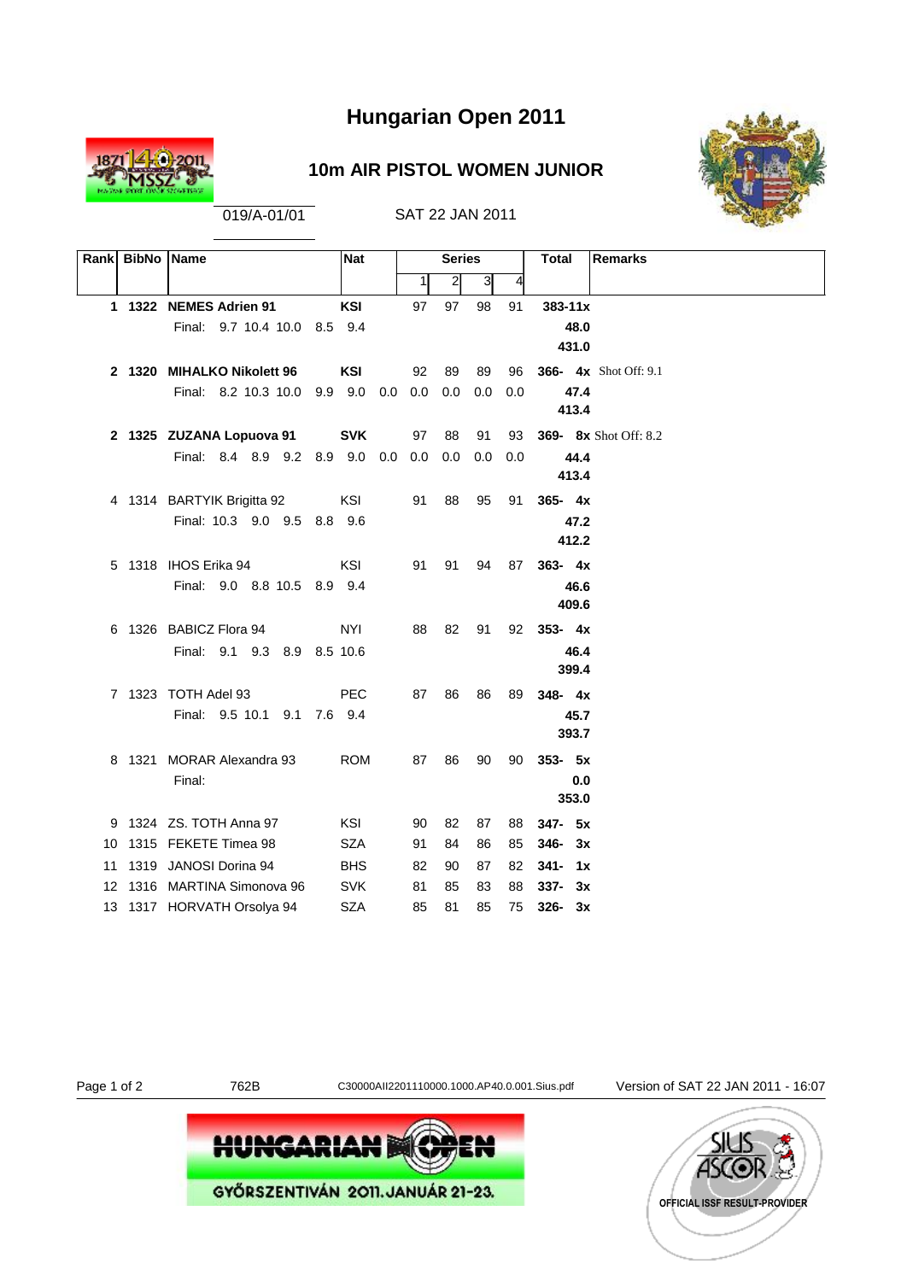

### **10m AIR PISTOL WOMEN JUNIOR**



019/A-01/01 SAT 22 JAN 2011

| Rank BibNo Name |                                                    | <b>Nat</b> |    | <b>Series</b>    |     |     | <b>Remarks</b><br><b>Total</b> |
|-----------------|----------------------------------------------------|------------|----|------------------|-----|-----|--------------------------------|
|                 |                                                    |            | 1  | $\left  \right $ | 3   | 4   |                                |
|                 | 1 1322 NEMES Adrien 91                             | <b>KSI</b> | 97 | 97               | 98  | 91  | $383 - 11x$                    |
|                 | Final: 9.7 10.4 10.0 8.5 9.4                       |            |    |                  |     |     | 48.0                           |
|                 |                                                    |            |    |                  |     |     | 431.0                          |
|                 | 2 1320 MIHALKO Nikolett 96                         | <b>KSI</b> | 92 | 89               | 89  | 96  | <b>366- 4x</b> Shot Off: 9.1   |
|                 | Final: 8.2 10.3 10.0 9.9 9.0 0.0 0.0               |            |    | 0.0              | 0.0 | 0.0 | 47.4                           |
|                 |                                                    |            |    |                  |     |     | 413.4                          |
|                 | 2 1325 ZUZANA Lopuova 91                           | <b>SVK</b> | 97 | 88               | 91  | 93  | <b>369-</b> 8x Shot Off: 8.2   |
|                 | Final: 8.4 8.9 9.2 8.9 9.0 0.0 0.0                 |            |    | 0.0              | 0.0 | 0.0 | 44.4                           |
|                 |                                                    |            |    |                  |     |     | 413.4                          |
|                 | 4 1314 BARTYIK Brigitta 92                         | KSI        | 91 | 88               | 95  | 91  | $365 - 4x$                     |
|                 | Final: 10.3 9.0 9.5 8.8 9.6                        |            |    |                  |     |     | 47.2                           |
|                 |                                                    |            |    |                  |     |     | 412.2                          |
|                 | 5 1318 IHOS Erika 94                               | <b>KSI</b> | 91 | 91               | 94  | 87  | $363 - 4x$                     |
|                 | Final: 9.0 8.8 10.5 8.9 9.4                        |            |    |                  |     |     | 46.6<br>409.6                  |
|                 |                                                    |            |    |                  |     |     |                                |
|                 | 6 1326 BABICZ Flora 94                             | <b>NYI</b> | 88 | 82               | 91  |     | 92 353-4x                      |
|                 | Final: 9.1 9.3 8.9 8.5 10.6                        |            |    |                  |     |     | 46.4<br>399.4                  |
|                 |                                                    |            |    |                  |     |     |                                |
|                 | 7 1323 TOTH Adel 93<br>Final: 9.5 10.1 9.1 7.6 9.4 | <b>PEC</b> | 87 | 86               | 86  | 89  | $348 - 4x$<br>45.7             |
|                 |                                                    |            |    |                  |     |     | 393.7                          |
|                 | 8 1321 MORAR Alexandra 93                          |            | 87 | 86               | 90  |     | $353 - 5x$                     |
|                 | Final:                                             | <b>ROM</b> |    |                  |     | 90  | 0.0                            |
|                 |                                                    |            |    |                  |     |     | 353.0                          |
|                 | 9 1324 ZS. TOTH Anna 97                            | KSI        | 90 | 82               | 87  | 88  | 347- 5x                        |
|                 | 10 1315 FEKETE Timea 98                            | <b>SZA</b> | 91 | 84               | 86  | 85  | $346 - 3x$                     |
|                 | 11 1319 JANOSI Dorina 94                           | <b>BHS</b> | 82 | 90               | 87  | 82  | $341 - 1x$                     |
|                 | 12 1316 MARTINA Simonova 96                        | <b>SVK</b> | 81 | 85               | 83  | 88  | $337 - 3x$                     |
|                 | 13 1317 HORVATH Orsolya 94                         | <b>SZA</b> | 85 | 81               | 85  | 75  | $326 - 3x$                     |
|                 |                                                    |            |    |                  |     |     |                                |

Page 1 of 2 762B C30000AII2201110000.1000.AP40.0.001.Sius.pdf Version of SAT 22 JAN 2011 - 16:07



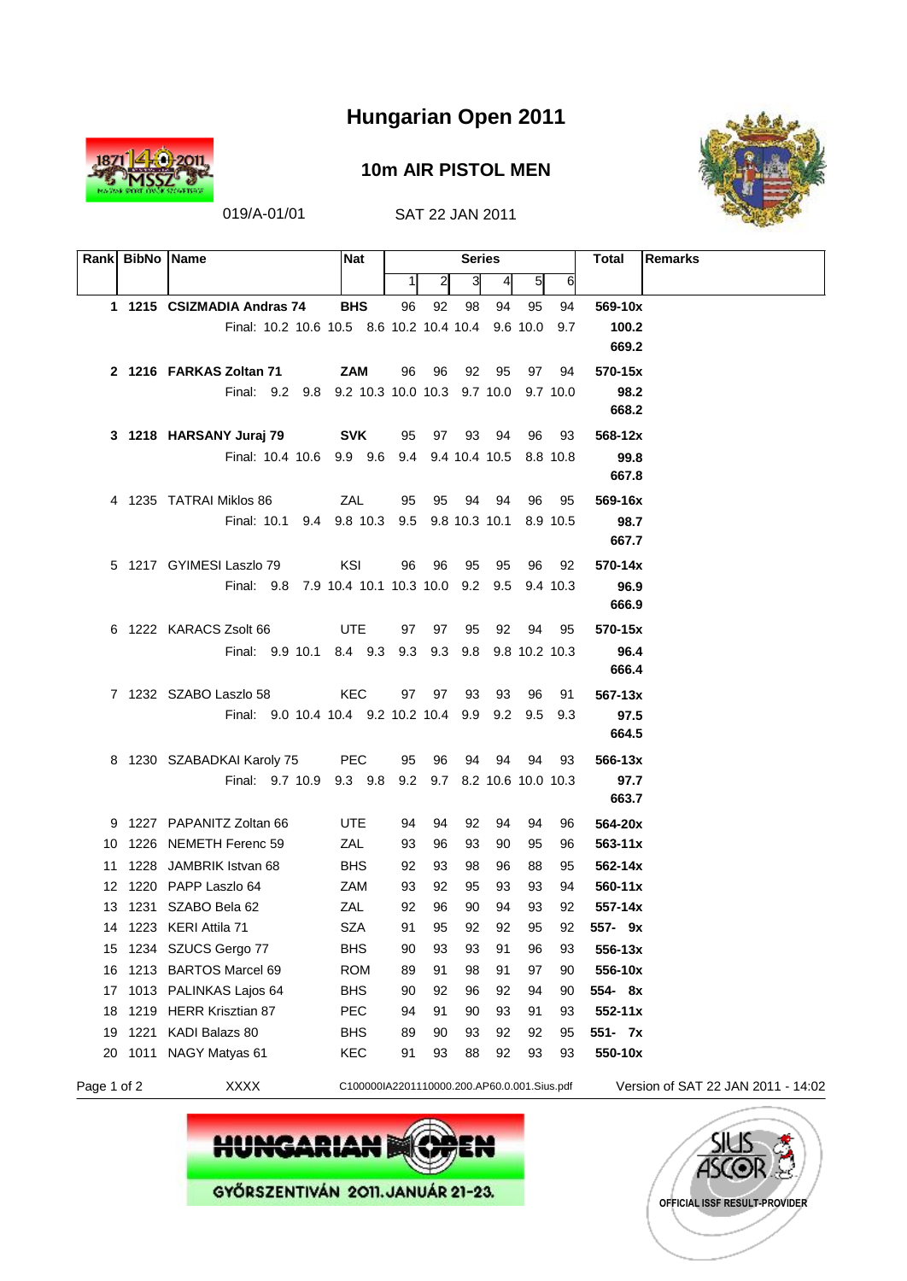

#### **10m AIR PISTOL MEN**



|             | Rank BibNo Name |                                                                                  | <b>Nat</b>                                  |    |       | <b>Series</b> |       |               |          | <b>Remarks</b><br>Total            |
|-------------|-----------------|----------------------------------------------------------------------------------|---------------------------------------------|----|-------|---------------|-------|---------------|----------|------------------------------------|
|             |                 |                                                                                  |                                             | 1  | 2     | 3             | 41    | 5             | 6        |                                    |
|             |                 | 1 1215 CSIZMADIA Andras 74                                                       | <b>BHS</b>                                  | 96 | 92    | 98            | 94    | 95            | 94       | 569-10x                            |
|             |                 | Final: 10.2 10.6 10.5 8.6 10.2 10.4 10.4                                         |                                             |    |       |               |       | 9.6 10.0      | 9.7      | 100.2                              |
|             |                 |                                                                                  |                                             |    |       |               |       |               |          | 669.2                              |
|             |                 | 2 1216 FARKAS Zoltan 71                                                          | <b>ZAM</b>                                  | 96 | - 96  | 92            | 95    | 97            | 94       | 570-15x                            |
|             |                 | Final: 9.2 9.8 9.2 10.3 10.0 10.3 9.7 10.0 9.7 10.0                              |                                             |    |       |               |       |               |          | 98.2                               |
|             |                 |                                                                                  |                                             |    |       |               |       |               |          | 668.2                              |
|             |                 | 3 1218 HARSANY Juraj 79                                                          | SVK                                         | 95 |       | 97 93 94      |       | 96            | 93       | 568-12x                            |
|             |                 | Final: 10.4 10.6 9.9 9.6 9.4 9.4 10.4 10.5 8.8 10.8                              |                                             |    |       |               |       |               |          | 99.8                               |
|             |                 |                                                                                  |                                             |    |       |               |       |               |          | 667.8                              |
|             |                 | 4 1235 TATRAI Miklos 86                                                          | ZAL                                         | 95 | 95    |               | 94 94 | 96            | 95       | 569-16x                            |
|             |                 | Final: 10.1 9.4 9.8 10.3 9.5 9.8 10.3 10.1 8.9 10.5                              |                                             |    |       |               |       |               |          | 98.7                               |
|             |                 |                                                                                  |                                             |    |       |               |       |               |          | 667.7                              |
|             |                 | 5 1217 GYIMESI Laszlo 79                                                         | KSI                                         | 96 | - 96  | 95            | 95    | 96            | 92       | 570-14x                            |
|             |                 | Final: 9.8 7.9 10.4 10.1 10.3 10.0 9.2 9.5                                       |                                             |    |       |               |       |               | 9.4 10.3 | 96.9                               |
|             |                 |                                                                                  |                                             |    |       |               |       |               |          | 666.9                              |
|             |                 | 6 1222 KARACS Zsolt 66                                                           | UTE                                         | 97 | 97    | 95            | 92    | 94            | 95       | 570-15x                            |
|             |                 | Final: 9.9 10.1 8.4 9.3 9.3 9.3 9.8                                              |                                             |    |       |               |       | 9.8 10.2 10.3 |          | 96.4                               |
|             |                 |                                                                                  |                                             |    |       |               |       |               |          | 666.4                              |
|             |                 | 7 1232 SZABO Laszlo 58                                                           | KEC                                         |    | 97 97 | 93            | 93    | 96            | 91       | $567 - 13x$                        |
|             |                 | Final: 9.0 10.4 10.4 9.2 10.2 10.4 9.9 9.2 9.5 9.3                               |                                             |    |       |               |       |               |          | 97.5<br>664.5                      |
|             |                 |                                                                                  |                                             |    |       |               |       |               |          |                                    |
|             |                 | 8 1230 SZABADKAI Karoly 75<br>Final: 9.7 10.9 9.3 9.8 9.2 9.7 8.2 10.6 10.0 10.3 | <b>PEC</b>                                  | 95 | 96    | 94            | 94    | 94            | 93       | 566-13x<br>97.7                    |
|             |                 |                                                                                  |                                             |    |       |               |       |               |          | 663.7                              |
|             |                 | 9 1227 PAPANITZ Zoltan 66                                                        | UTE                                         | 94 | 94    | 92            | 94    | 94            | 96       | 564-20x                            |
|             |                 | 10 1226 NEMETH Ferenc 59                                                         | ZAL                                         | 93 | 96    | 93            | 90    | 95            | 96       | $563 - 11x$                        |
|             |                 | 11 1228 JAMBRIK Istvan 68                                                        | <b>BHS</b>                                  | 92 | 93    | 98            | 96    | 88            | 95       | $562 - 14x$                        |
|             |                 | 12 1220 PAPP Laszlo 64                                                           | ZAM                                         | 93 | 92    | 95            | 93    | 93            | 94       | $560 - 11x$                        |
|             |                 | 13 1231 SZABO Bela 62                                                            | ZAL                                         | 92 | 96    | 90            | 94    | 93            | 92       | 557-14x                            |
|             |                 | 14 1223 KERI Attila 71                                                           | SZA                                         | 91 | 95    | 92            | 92    | 95            | 92       | 557- 9x                            |
| 15          |                 | 1234 SZUCS Gergo 77                                                              | <b>BHS</b>                                  | 90 | 93    | 93            | 91    | 96            | 93       | 556-13x                            |
| 16          |                 | 1213 BARTOS Marcel 69                                                            | <b>ROM</b>                                  | 89 | 91    | 98            | 91    | 97            | 90       | 556-10x                            |
| 17          |                 | 1013 PALINKAS Lajos 64                                                           | <b>BHS</b>                                  | 90 | 92    | 96            | 92    | 94            | 90       | 554-8x                             |
| 18          |                 | 1219 HERR Krisztian 87                                                           | PEC                                         | 94 | 91    | 90            | 93    | 91            | 93       | $552 - 11x$                        |
| 19          |                 | 1221 KADI Balazs 80                                                              | <b>BHS</b>                                  | 89 | 90    | 93            | 92    | 92            | 95       | 551- 7x                            |
| 20          |                 | 1011 NAGY Matyas 61                                                              | KEC                                         | 91 | 93    | 88            | 92    | 93            | 93       | 550-10x                            |
| Page 1 of 2 |                 | <b>XXXX</b>                                                                      | C100000IA2201110000.200.AP60.0.001.Sius.pdf |    |       |               |       |               |          | Version of SAT 22 JAN 2011 - 14:02 |



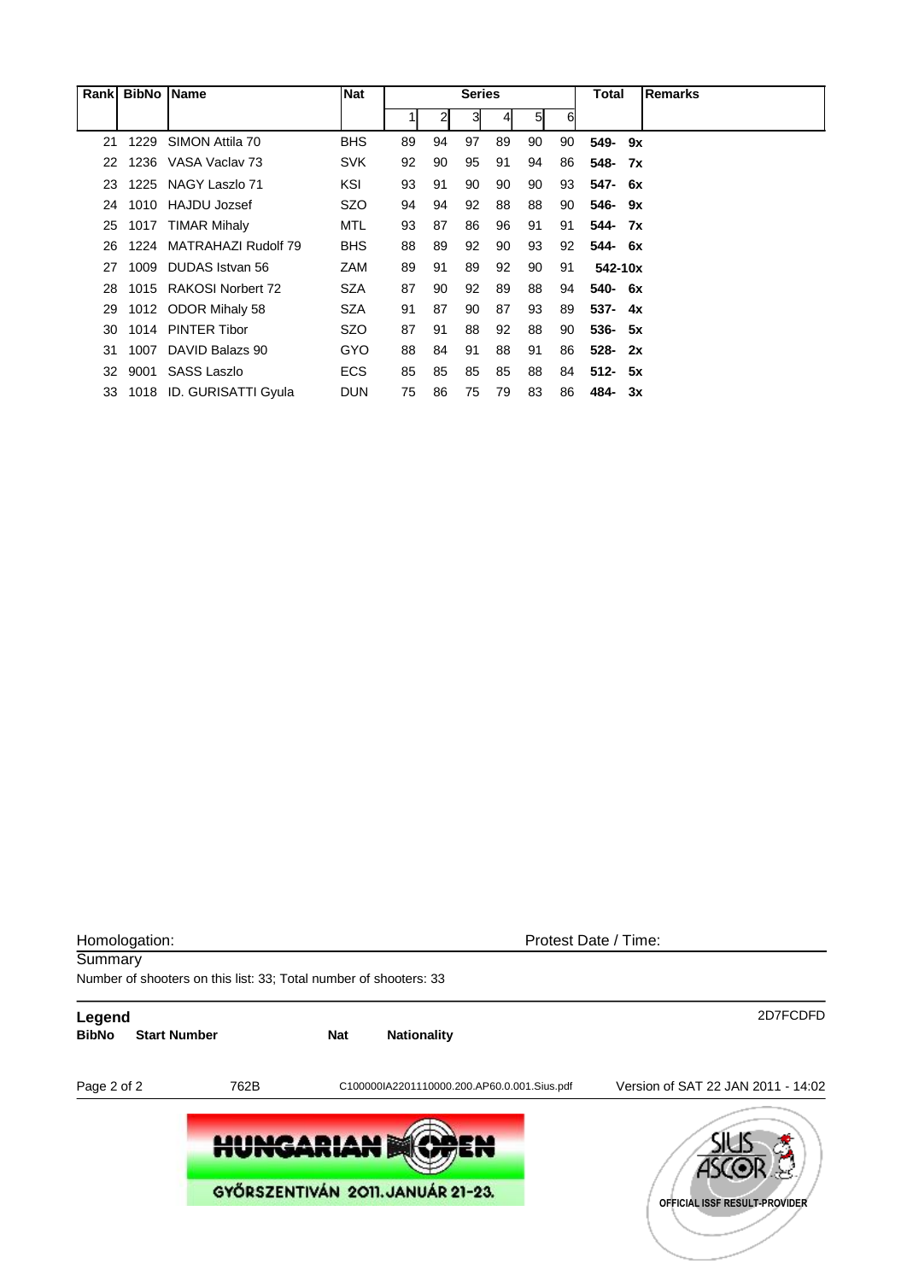| Rank | <b>BibNo</b> | <b>Name</b>              | <b>Nat</b> |    |                | <b>Series</b> |    |    |    | Total      |    | <b>Remarks</b> |
|------|--------------|--------------------------|------------|----|----------------|---------------|----|----|----|------------|----|----------------|
|      |              |                          |            |    | $\overline{2}$ | 3             | 41 | 5  | 6  |            |    |                |
| 21   | 1229         | SIMON Attila 70          | <b>BHS</b> | 89 | 94             | 97            | 89 | 90 | 90 | 549- 9x    |    |                |
| 22   |              | 1236 VASA Vaclay 73      | <b>SVK</b> | 92 | 90             | 95            | 91 | 94 | 86 | 548-       | 7x |                |
| 23   |              | 1225 NAGY Laszlo 71      | KSI        | 93 | 91             | 90            | 90 | 90 | 93 | 547- 6x    |    |                |
| 24   | 1010         | HAJDU Jozsef             | SZO        | 94 | 94             | 92            | 88 | 88 | 90 | 546-       | 9x |                |
| 25   |              | 1017 TIMAR Mihaly        | MTL        | 93 | 87             | 86            | 96 | 91 | 91 | 544- 7x    |    |                |
| 26   |              | 1224 MATRAHAZI Rudolf 79 | <b>BHS</b> | 88 | 89             | 92            | 90 | 93 | 92 | 544- 6x    |    |                |
| 27   | 1009         | DUDAS Istvan 56          | <b>ZAM</b> | 89 | 91             | 89            | 92 | 90 | 91 | 542-10x    |    |                |
| 28   |              | 1015 RAKOSI Norbert 72   | <b>SZA</b> | 87 | 90             | 92            | 89 | 88 | 94 | 540- 6x    |    |                |
| 29   |              | 1012 ODOR Mihaly 58      | SZA        | 91 | 87             | 90            | 87 | 93 | 89 | $537 - 4x$ |    |                |
| 30   |              | 1014 PINTER Tibor        | SZO        | 87 | 91             | 88            | 92 | 88 | 90 | $536 - 5x$ |    |                |
| 31   | 1007         | DAVID Balazs 90          | <b>GYO</b> | 88 | 84             | 91            | 88 | 91 | 86 | $528 -$    | 2x |                |
| 32   | 9001         | SASS Laszlo              | <b>ECS</b> | 85 | 85             | 85            | 85 | 88 | 84 | $512 - 5x$ |    |                |
| 33   | 1018         | ID. GURISATTI Gyula      | <b>DUN</b> | 75 | 86             | 75            | 79 | 83 | 86 | 484-       | 3x |                |

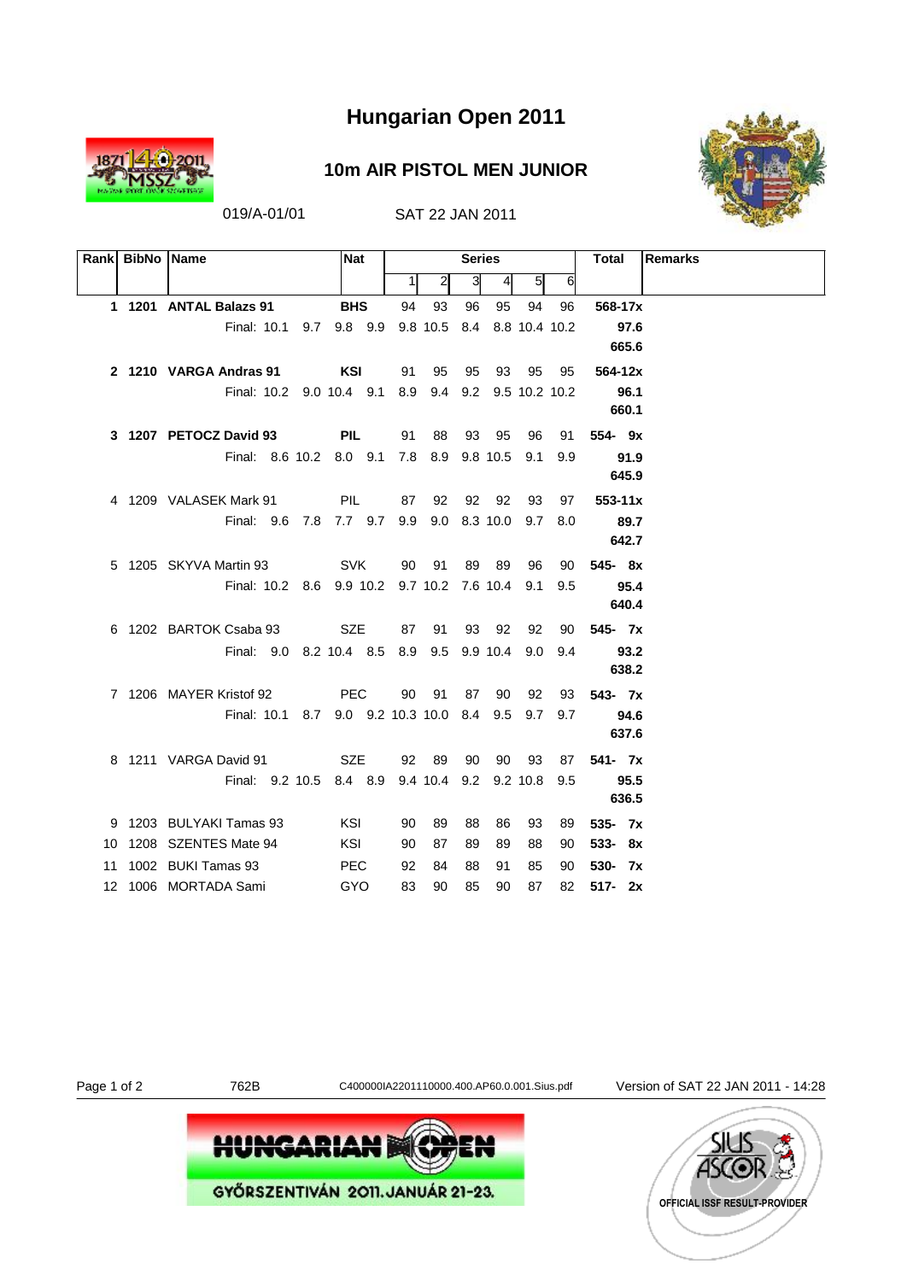

019/A-01/01 SAT 22 JAN 2011



| <b>0m AIR PISTOL MEN JUNIO</b> |  |
|--------------------------------|--|
|--------------------------------|--|

|    | Rank BibNo Name |                                                    | <b>Nat</b> |       |              | <b>Series</b> |                |                |         | Total<br>Remarks |
|----|-----------------|----------------------------------------------------|------------|-------|--------------|---------------|----------------|----------------|---------|------------------|
|    |                 |                                                    |            | 1     | $\mathbf{2}$ | 3             | $\overline{4}$ | 5 <sub>l</sub> | 6       |                  |
|    |                 | 1 1201 ANTAL Balazs 91                             | <b>BHS</b> | 94    | 93           | 96            | 95             | 94             | 96      | 568-17x          |
|    |                 | Final: 10.1 9.7 9.8 9.9 9.8 10.5 8.4 8.8 10.4 10.2 |            |       |              |               |                |                |         | 97.6             |
|    |                 |                                                    |            |       |              |               |                |                |         | 665.6            |
|    |                 | 2 1210 VARGA Andras 91                             | KSI        | 91    | 95           | 95            |                | 93 95          | 95      | 564-12x          |
|    |                 | Final: 10.2 9.0 10.4 9.1 8.9 9.4 9.2 9.5 10.2 10.2 |            |       |              |               |                |                |         | 96.1             |
|    |                 |                                                    |            |       |              |               |                |                |         | 660.1            |
|    |                 | 3 1207 PETOCZ David 93                             | <b>PIL</b> | 91    | 88           |               | 93 95          | 96             | 91      | $554 - 9x$       |
|    |                 | Final: 8.6 10.2 8.0 9.1 7.8 8.9 9.8 10.5 9.1       |            |       |              |               |                |                | 9.9     | 91.9             |
|    |                 |                                                    |            |       |              |               |                |                |         | 645.9            |
|    |                 | 4 1209 VALASEK Mark 91                             | <b>PIL</b> | 87    | 92           |               | 92 92          | 93             | 97      | $553 - 11x$      |
|    |                 | Final: 9.6 7.8 7.7 9.7 9.9 9.0 8.3 10.0            |            |       |              |               |                |                | 9.7 8.0 | 89.7             |
|    |                 |                                                    |            |       |              |               |                |                |         | 642.7            |
|    |                 | <b>SVK</b><br>5 1205 SKYVA Martin 93               |            | 90 91 |              |               | 89 89          | 96             | 90      | $545 - 8x$       |
|    |                 | Final: 10.2 8.6 9.9 10.2 9.7 10.2 7.6 10.4 9.1     |            |       |              |               |                |                | 9.5     | 95.4             |
|    |                 |                                                    |            |       |              |               |                |                |         | 640.4            |
|    |                 | 6 1202 BARTOK Csaba 93                             | SZE        | 87 91 |              |               | 93 92          | 92             | 90      | 545-7x           |
|    |                 | Final: 9.0 8.2 10.4 8.5 8.9 9.5 9.9 10.4 9.0 9.4   |            |       |              |               |                |                |         | 93.2             |
|    |                 |                                                    |            |       |              |               |                |                |         | 638.2            |
|    |                 | 7 1206 MAYER Kristof 92                            | <b>PEC</b> | 90    | 91           | 87            | 90             | 92             | 93      | $543 - 7x$       |
|    |                 | Final: 10.1 8.7 9.0 9.2 10.3 10.0 8.4 9.5 9.7 9.7  |            |       |              |               |                |                |         | 94.6             |
|    |                 |                                                    |            |       |              |               |                |                |         | 637.6            |
|    |                 | 8 1211 VARGA David 91                              | <b>SZE</b> | 92 89 |              | 90            | 90             | 93             | 87      | $541 - 7x$       |
|    |                 | Final: 9.2 10.5 8.4 8.9 9.4 10.4 9.2 9.2 10.8 9.5  |            |       |              |               |                |                |         | 95.5             |
|    |                 |                                                    |            |       |              |               |                |                |         | 636.5            |
|    |                 | 9 1203 BULYAKI Tamas 93                            | KSI        | 90    | 89           | 88            | 86             | 93             | 89      | $535 - 7x$       |
|    |                 | 10 1208 SZENTES Mate 94                            | KSI        | 90    | 87           | 89            | 89             | 88             | 90      | $533 - 8x$       |
| 11 |                 | 1002 BUKI Tamas 93                                 | <b>PEC</b> | 92    | 84           | 88            | 91             | 85             | 90      | 530- 7x          |
|    |                 | 12 1006 MORTADA Sami                               | GYO        | 83    | 90           | 85            | 90             | 87             | 82      | $517 - 2x$       |

Page 1 of 2 762B C400000IA2201110000.400.AP60.0.001.Sius.pdf Version of SAT 22 JAN 2011 - 14:28



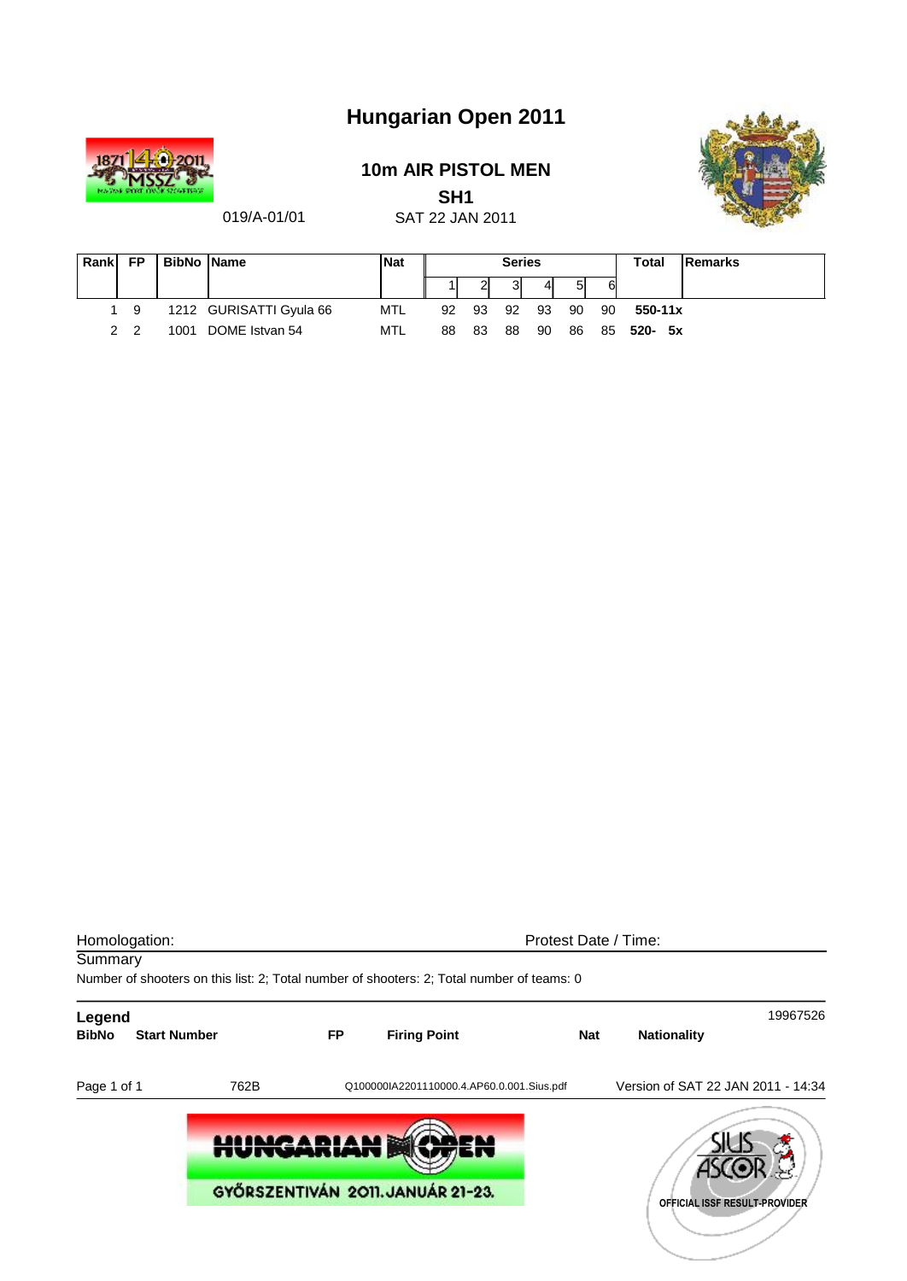

### **10m AIR PISTOL MEN**

**SH1**



019/A-01/01

| ----            |  |
|-----------------|--|
| SAT 22 JAN 2011 |  |

| Rankl | <b>FP</b>      | <b>BibNo Name</b> |                         | <b>Nat</b> |    |    | <b>Series</b> |     |    |    | Total       | <b>IRemarks</b> |
|-------|----------------|-------------------|-------------------------|------------|----|----|---------------|-----|----|----|-------------|-----------------|
|       |                |                   |                         |            |    | ▵  | 3             | 41  | 51 | 6  |             |                 |
|       | - 9            |                   | 1212 GURISATTI Gyula 66 | MTL        | 92 | 93 | 92            | -93 | 90 | 90 | $550 - 11x$ |                 |
|       | 2 <sub>2</sub> | 1001              | DOME Istvan 54          | MTL        | 88 | 83 | 88            | 90  | 86 |    | 85 520- 5x  |                 |

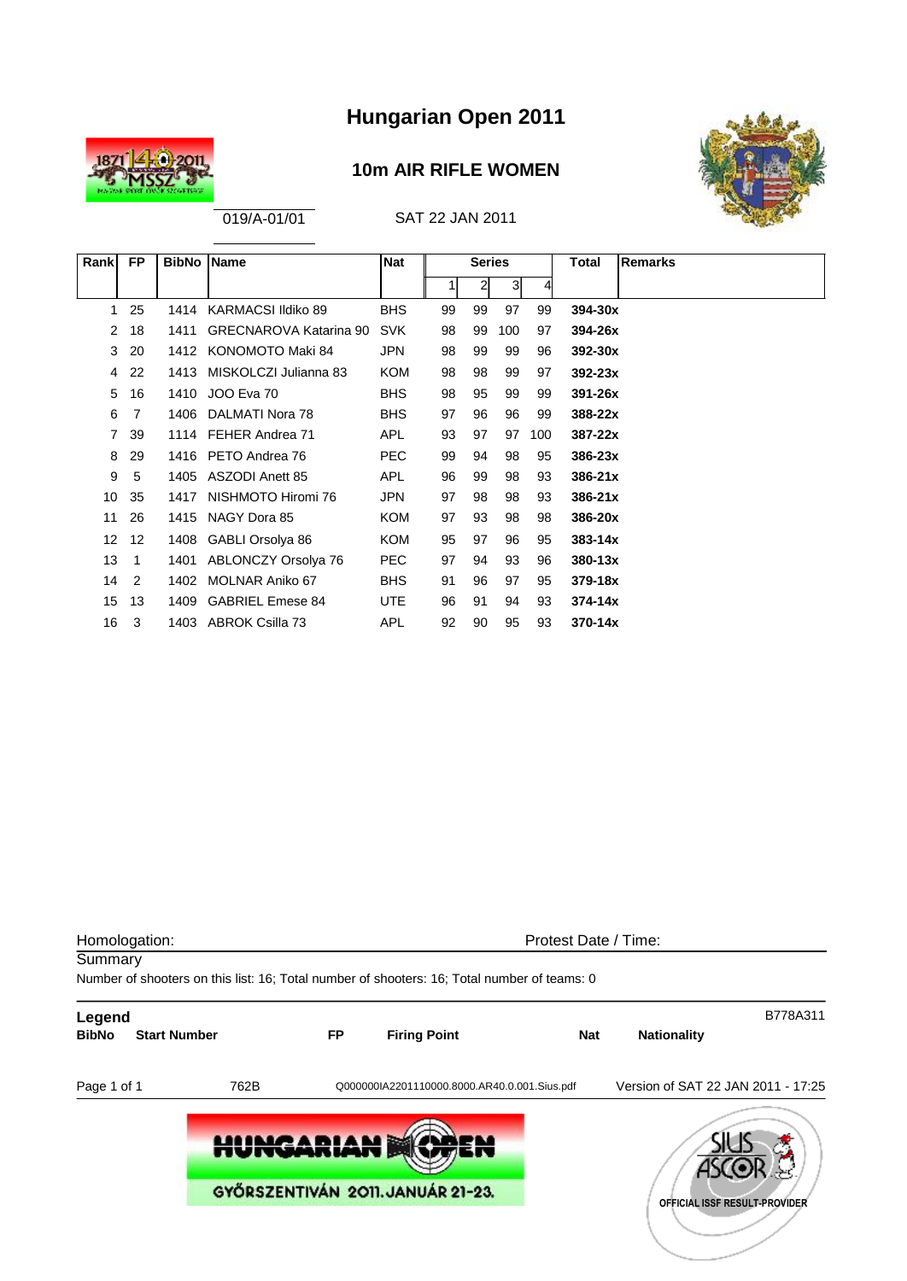

### **10m AIR RIFLE WOMEN**



| Rank            | <b>FP</b>      | <b>BibNo</b> | Name                          | <b>Nat</b> |    | <b>Series</b>  |                |     | Total       | <b>Remarks</b> |
|-----------------|----------------|--------------|-------------------------------|------------|----|----------------|----------------|-----|-------------|----------------|
|                 |                |              |                               |            | 11 | $\overline{2}$ | 3 <sup>l</sup> | 4   |             |                |
| 1               | 25             | 1414         | KARMACSI Ildiko 89            | <b>BHS</b> | 99 | 99             | 97             | 99  | 394-30x     |                |
| 2               | 18             | 1411         | <b>GRECNAROVA Katarina 90</b> | <b>SVK</b> | 98 | 99             | 100            | 97  | 394-26x     |                |
| 3               | 20             |              | 1412 KONOMOTO Maki 84         | <b>JPN</b> | 98 | 99             | 99             | 96  | 392-30x     |                |
| 4               | 22             | 1413         | MISKOLCZI Julianna 83         | <b>KOM</b> | 98 | 98             | 99             | 97  | $392 - 23x$ |                |
| 5               | 16             | 1410         | JOO Eva 70                    | <b>BHS</b> | 98 | 95             | 99             | 99  | 391-26x     |                |
| 6               | 7              | 1406         | DALMATI Nora 78               | <b>BHS</b> | 97 | 96             | 96             | 99  | 388-22x     |                |
| 7               | 39             |              | 1114 FEHER Andrea 71          | <b>APL</b> | 93 | 97             | 97             | 100 | 387-22x     |                |
| 8               | 29             |              | 1416 PETO Andrea 76           | <b>PEC</b> | 99 | 94             | 98             | 95  | $386 - 23x$ |                |
| 9               | 5              | 1405         | ASZODI Anett 85               | <b>APL</b> | 96 | 99             | 98             | 93  | $386 - 21x$ |                |
| 10              | 35             | 1417         | NISHMOTO Hiromi 76            | JPN        | 97 | 98             | 98             | 93  | $386 - 21x$ |                |
| 11              | 26             | 1415         | NAGY Dora 85                  | <b>KOM</b> | 97 | 93             | 98             | 98  | 386-20x     |                |
| 12 <sup>2</sup> | 12             | 1408         | GABLI Orsolya 86              | <b>KOM</b> | 95 | 97             | 96             | 95  | $383 - 14x$ |                |
| 13              | $\overline{1}$ | 1401         | <b>ABLONCZY Orsolya 76</b>    | <b>PEC</b> | 97 | 94             | 93             | 96  | $380 - 13x$ |                |
| 14              | 2              | 1402         | MOLNAR Aniko 67               | <b>BHS</b> | 91 | 96             | 97             | 95  | 379-18x     |                |
| 15              | 13             | 1409         | <b>GABRIEL Emese 84</b>       | <b>UTE</b> | 96 | 91             | 94             | 93  | $374 - 14x$ |                |
| 16              | 3              |              | 1403 ABROK Csilla 73          | <b>APL</b> | 92 | 90             | 95             | 93  | $370 - 14x$ |                |

| Homologation:          |                     |           |                                                                                             | Protest Date / Time: |                                    |                               |  |  |  |  |
|------------------------|---------------------|-----------|---------------------------------------------------------------------------------------------|----------------------|------------------------------------|-------------------------------|--|--|--|--|
| Summary                |                     |           | Number of shooters on this list: 16; Total number of shooters: 16; Total number of teams: 0 |                      |                                    |                               |  |  |  |  |
| Legend<br><b>BibNo</b> | <b>Start Number</b> | <b>FP</b> | <b>Firing Point</b>                                                                         | <b>Nat</b>           | <b>Nationality</b>                 | B778A311                      |  |  |  |  |
| Page 1 of 1            | 762B                |           | Q000000IA2201110000.8000.AR40.0.001.Sius.pdf                                                |                      | Version of SAT 22 JAN 2011 - 17:25 |                               |  |  |  |  |
|                        | <b>HUNGARIAN</b>    |           | GYŐRSZENTIVÁN 2011. JANUÁR 21-23.                                                           |                      |                                    | OFFICIAL ISSF RESULT-PROVIDER |  |  |  |  |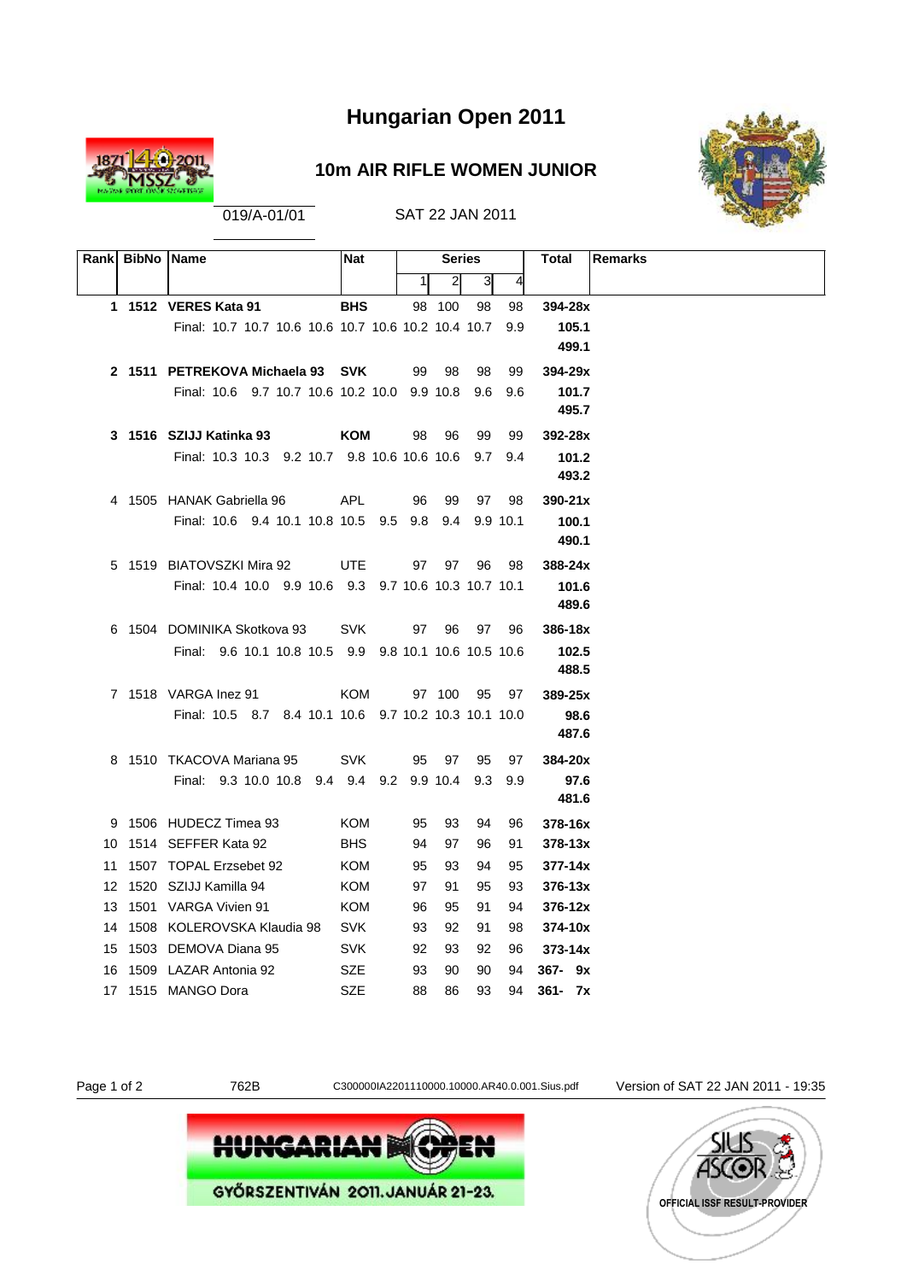

### **10m AIR RIFLE WOMEN JUNIOR**



| Rank BibNo Name |                                                       | <b>Nat</b> |          | <b>Series</b>  |          |          | Remarks<br>Total           |
|-----------------|-------------------------------------------------------|------------|----------|----------------|----------|----------|----------------------------|
|                 |                                                       |            | 1        | $\overline{2}$ | 3        | 4        |                            |
|                 | 1 1512 VERES Kata 91                                  | <b>BHS</b> |          | 98 100         | 98       | 98       | 394-28x                    |
|                 | Final: 10.7 10.7 10.6 10.6 10.7 10.6 10.2 10.4 10.7   |            |          |                |          | 9.9      | 105.1                      |
|                 |                                                       |            |          |                |          |          | 499.1                      |
|                 | 2 1511 PETREKOVA Michaela 93 SVK                      |            |          | 99 98          | - 98     | 99       | 394-29x                    |
|                 | Final: 10.6 9.7 10.7 10.6 10.2 10.0 9.9 10.8 9.6 9.6  |            |          |                |          |          | 101.7                      |
|                 |                                                       |            |          |                |          |          | 495.7                      |
|                 | 3 1516 SZIJJ Katinka 93                               | KOM        | 98       | 96             | 99       | 99       | 392-28x                    |
|                 | Final: 10.3 10.3 9.2 10.7 9.8 10.6 10.6 10.6 9.7 9.4  |            |          |                |          |          | 101.2                      |
|                 |                                                       |            |          |                |          |          | 493.2                      |
|                 | 4 1505 HANAK Gabriella 96                             | <b>APL</b> | 96       | 99             |          | 97 98    | $390 - 21x$                |
|                 | Final: 10.6 9.4 10.1 10.8 10.5 9.5 9.8 9.4 9.9 10.1   |            |          |                |          |          | 100.1                      |
|                 |                                                       |            |          |                |          |          | 490.1                      |
|                 | 5 1519 BIATOVSZKI Mira 92                             | <b>UTE</b> |          | 97 97          | 96       | 98       | $388 - 24x$                |
|                 | Final: 10.4 10.0 9.9 10.6 9.3 9.7 10.6 10.3 10.7 10.1 |            |          |                |          |          | 101.6                      |
|                 |                                                       |            |          |                |          |          | 489.6                      |
|                 | 6 1504 DOMINIKA Skotkova 93                           | SVK        |          | 97 96          |          | 97 96    | 386-18x                    |
|                 | Final: 9.6 10.1 10.8 10.5 9.9 9.8 10.1 10.6 10.5 10.6 |            |          |                |          |          | 102.5                      |
|                 |                                                       |            |          |                |          |          | 488.5                      |
|                 | 7 1518 VARGA Inez 91                                  | KOM        |          | 97 100         | 95       | 97       | $389 - 25x$                |
|                 | Final: 10.5 8.7 8.4 10.1 10.6 9.7 10.2 10.3 10.1 10.0 |            |          |                |          |          | 98.6                       |
|                 |                                                       |            |          |                |          |          | 487.6                      |
|                 | 8 1510 TKACOVA Mariana 95                             | <b>SVK</b> | 95       | 97             | 95       | 97       | 384-20x                    |
|                 | Final: 9.3 10.0 10.8 9.4 9.4 9.2 9.9 10.4 9.3 9.9     |            |          |                |          |          | 97.6                       |
|                 |                                                       |            |          |                |          |          | 481.6                      |
|                 | 9 1506 HUDECZ Timea 93                                | KOM        | 95       | 93             | 94       | 96       | 378-16x                    |
|                 | 10 1514 SEFFER Kata 92                                | <b>BHS</b> | 94       | 97             | 96       | 91       | $378 - 13x$                |
|                 | 11 1507 TOPAL Erzsebet 92                             | KOM        | 95       | 93             | 94       | 95       | $377 - 14x$                |
|                 | 12 1520 SZIJJ Kamilla 94<br>13 1501 VARGA Vivien 91   | KOM<br>KOM | 97<br>96 | 91<br>95       | 95<br>91 | 93<br>94 | $376 - 13x$<br>$376 - 12x$ |
|                 | 14 1508 KOLEROVSKA Klaudia 98 SVK                     |            | 93       | 92             | 91       | 98       | 374-10x                    |
|                 | 15 1503 DEMOVA Diana 95                               | SVK        | 92       | 93             | 92       | 96       | $373 - 14x$                |
|                 | 16 1509 LAZAR Antonia 92                              | SZE        | 93       | 90             | 90       | 94       | $367 - 9x$                 |
|                 | 17 1515 MANGO Dora                                    | SZE.       | 88       | 86             | 93       | 94       | $361 - 7x$                 |
|                 |                                                       |            |          |                |          |          |                            |





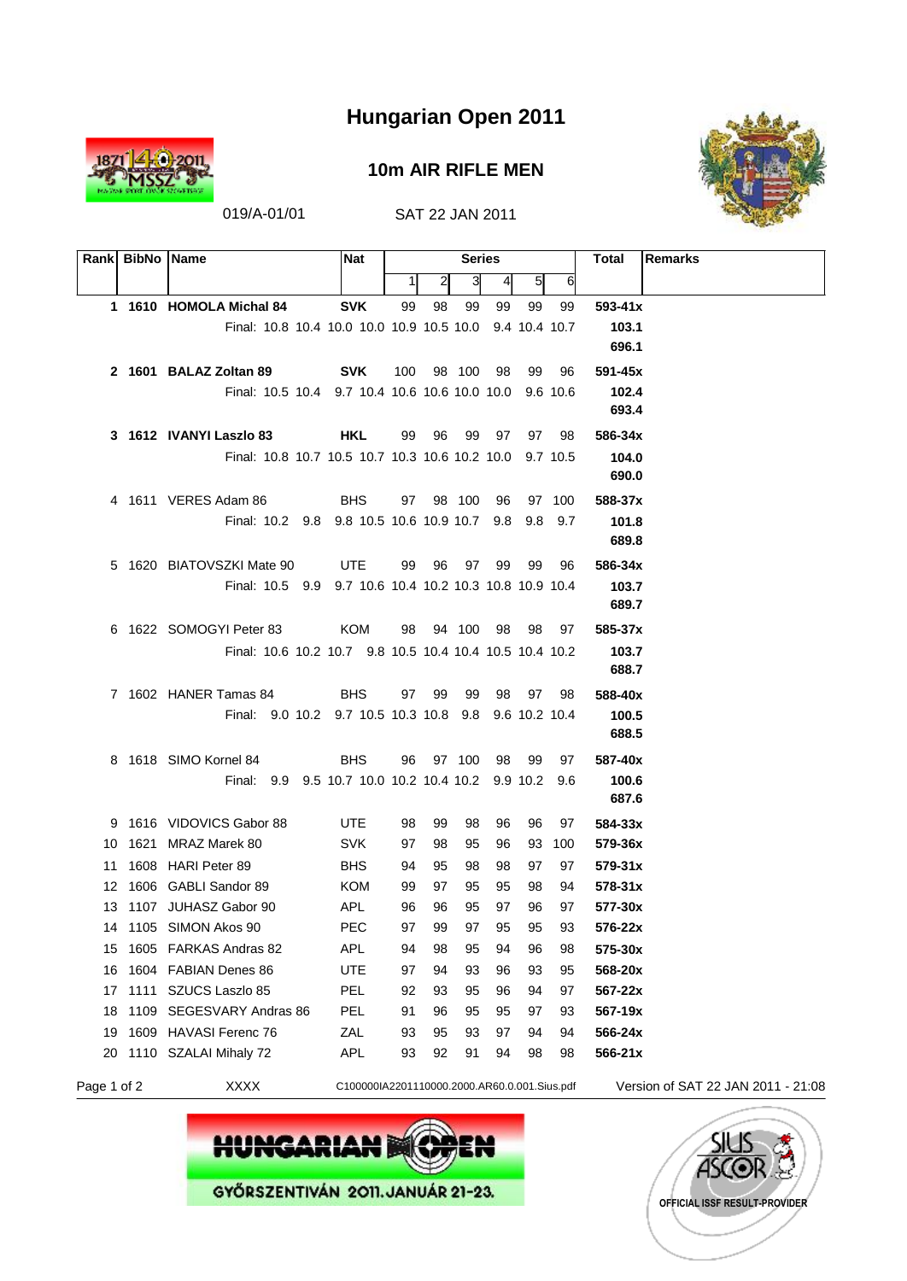

#### **10m AIR RIFLE MEN**



|             | Rank BibNo Name |                                                         | Nat                                          |          |              | <b>Series</b> |                 |          |          | Total<br><b>Remarks</b>            |
|-------------|-----------------|---------------------------------------------------------|----------------------------------------------|----------|--------------|---------------|-----------------|----------|----------|------------------------------------|
|             |                 |                                                         |                                              | 1        | $\mathbf{2}$ | 3             | $\vert 4 \vert$ | $5 \mid$ | 6        |                                    |
|             |                 | 1 1610 HOMOLA Michal 84                                 | <b>SVK</b>                                   | 99       | 98           | 99            | 99              | 99       | 99       | $593 - 41x$                        |
|             |                 | Final: 10.8 10.4 10.0 10.0 10.9 10.5 10.0 9.4 10.4 10.7 |                                              |          |              |               |                 |          |          | 103.1                              |
|             |                 |                                                         |                                              |          |              |               |                 |          |          | 696.1                              |
|             |                 | 2 1601 BALAZ Zoltan 89                                  | <b>SVK</b>                                   | 100      |              | 98 100        | 98              | 99       | 96       | 591-45x                            |
|             |                 | Final: 10.5 10.4 9.7 10.4 10.6 10.6 10.0 10.0 9.6 10.6  |                                              |          |              |               |                 |          |          | 102.4                              |
|             |                 |                                                         |                                              |          |              |               |                 |          |          | 693.4                              |
|             |                 | 3 1612 IVANYI Laszlo 83                                 | HKL                                          | 99       | 96           | 99            | 97              | 97       | 98       | 586-34x                            |
|             |                 | Final: 10.8 10.7 10.5 10.7 10.3 10.6 10.2 10.0 9.7 10.5 |                                              |          |              |               |                 |          |          | 104.0                              |
|             |                 |                                                         |                                              |          |              |               |                 |          |          | 690.0                              |
|             |                 | 4 1611 VERES Adam 86                                    | <b>BHS</b>                                   |          | 97 98 100    |               | 96              |          | 97 100   | 588-37x                            |
|             |                 | Final: 10.2 9.8 9.8 10.5 10.6 10.9 10.7 9.8 9.8 9.7     |                                              |          |              |               |                 |          |          | 101.8<br>689.8                     |
|             |                 | 5 1620 BIATOVSZKI Mate 90                               | UTE                                          | 99       | - 96         |               | 97 99           | 99       | 96       |                                    |
|             |                 | Final: 10.5 9.9 9.7 10.6 10.4 10.2 10.3 10.8 10.9 10.4  |                                              |          |              |               |                 |          |          | 586-34x<br>103.7                   |
|             |                 |                                                         |                                              |          |              |               |                 |          |          | 689.7                              |
|             |                 | 6 1622 SOMOGYI Peter 83                                 | KOM                                          | 98       |              |               | 94 100 98       | 98       | 97       | 585-37x                            |
|             |                 | Final: 10.6 10.2 10.7 9.8 10.5 10.4 10.4 10.5 10.4 10.2 |                                              |          |              |               |                 |          |          | 103.7                              |
|             |                 |                                                         |                                              |          |              |               |                 |          |          | 688.7                              |
|             |                 | 7 1602 HANER Tamas 84                                   | <b>BHS</b>                                   | 97       | - 99         | 99            | 98              | 97       | 98       | 588-40x                            |
|             |                 | Final: 9.0 10.2 9.7 10.5 10.3 10.8 9.8 9.6 10.2 10.4    |                                              |          |              |               |                 |          |          | 100.5                              |
|             |                 |                                                         |                                              |          |              |               |                 |          |          | 688.5                              |
|             |                 | 8 1618 SIMO Kornel 84                                   | <b>BHS</b>                                   | 96       |              | 97 100        | 98              | -99      | 97       | 587-40x                            |
|             |                 | Final: 9.9 9.5 10.7 10.0 10.2 10.4 10.2 9.9 10.2 9.6    |                                              |          |              |               |                 |          |          | 100.6                              |
|             |                 |                                                         |                                              |          |              |               |                 |          |          | 687.6                              |
|             |                 | 9 1616 VIDOVICS Gabor 88                                | UTE                                          | 98       | 99           | 98            | 96              | 96       | 97       | 584-33x                            |
|             |                 | 10 1621 MRAZ Marek 80                                   | <b>SVK</b>                                   | 97       | 98           | 95            | 96              | 93       | 100      | 579-36x                            |
|             |                 | 11 1608 HARI Peter 89                                   | <b>BHS</b>                                   | 94       | 95           | 98            | 98              | 97       | 97       | $579 - 31x$                        |
|             |                 | 12 1606 GABLI Sandor 89                                 | KOM                                          | 99       | 97           | 95            | 95              | 98       | 94       | $578 - 31x$                        |
|             |                 | 13 1107 JUHASZ Gabor 90                                 | <b>APL</b>                                   | 96       | 96           | 95            | 97              | 96       | 97       | 577-30x                            |
|             |                 | 14 1105 SIMON Akos 90<br>15 1605 FARKAS Andras 82       | PEC<br>APL                                   | 97<br>94 | 99<br>98     | 97<br>95      | 95<br>94        | 95<br>96 | 93       | 576-22x<br>575-30x                 |
|             |                 | 16 1604 FABIAN Denes 86                                 | <b>UTE</b>                                   | 97       | 94           | 93            | 96              | 93       | 98<br>95 | 568-20x                            |
| 17          |                 | 1111 SZUCS Laszlo 85                                    | PEL                                          | 92       | 93           | 95            | 96              | 94       | 97       | 567-22x                            |
| 18          |                 | 1109 SEGESVARY Andras 86                                | PEL                                          | 91       | 96           | 95            | 95              | 97       | 93       | 567-19x                            |
| 19          |                 | 1609 HAVASI Ferenc 76                                   | ZAL                                          | 93       | 95           | 93            | 97              | 94       | 94       | 566-24x                            |
|             |                 | 20 1110 SZALAI Mihaly 72                                | APL                                          | 93       | 92           | 91            | 94              | 98       | 98       | 566-21x                            |
| Page 1 of 2 |                 | <b>XXXX</b>                                             | C100000IA2201110000.2000.AR60.0.001.Sius.pdf |          |              |               |                 |          |          | Version of SAT 22 JAN 2011 - 21:08 |



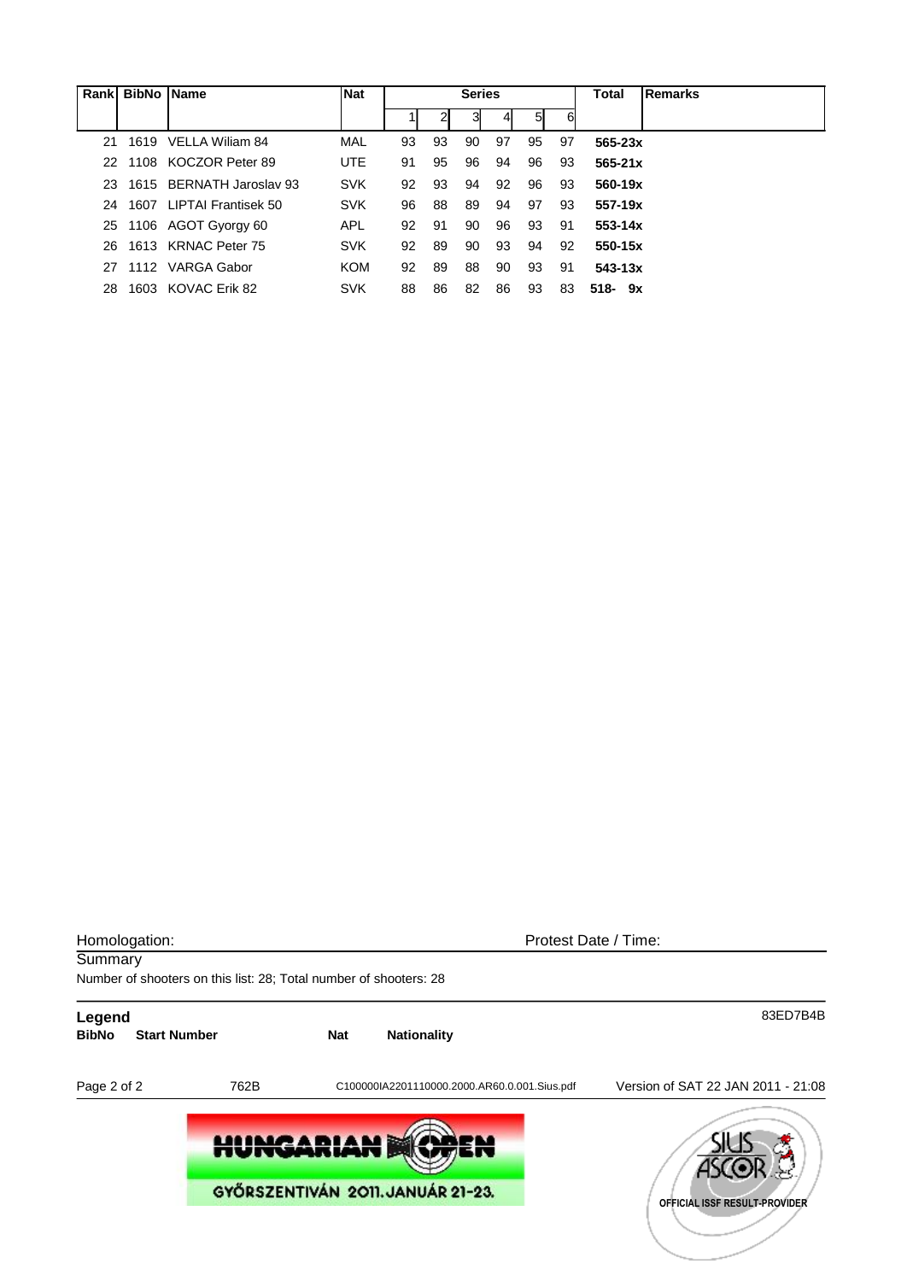|     | Rank BibNo Name |                          | <b>Nat</b> | <b>Series</b> |    |    |    |    |     | Total       | <b>Remarks</b> |
|-----|-----------------|--------------------------|------------|---------------|----|----|----|----|-----|-------------|----------------|
|     |                 |                          |            |               |    | 3  |    | 51 | 6   |             |                |
| 21  |                 | 1619 VELLA William 84    | MAL        | 93            | 93 | 90 | 97 | 95 | 97  | $565 - 23x$ |                |
| 22. |                 | 1108 KOCZOR Peter 89     | UTE.       | 91            | 95 | 96 | 94 | 96 | 93  | $565 - 21x$ |                |
| 23. |                 | 1615 BERNATH Jaroslav 93 | <b>SVK</b> | 92            | 93 | 94 | 92 | 96 | 93  | 560-19x     |                |
| 24  |                 | 1607 LIPTAI Frantisek 50 | <b>SVK</b> | 96            | 88 | 89 | 94 | 97 | 93  | $557-19x$   |                |
| 25  |                 | 1106 AGOT Gyorgy 60      | <b>APL</b> | 92            | 91 | 90 | 96 | 93 | -91 | $553 - 14x$ |                |
| 26. |                 | 1613 KRNAC Peter 75      | <b>SVK</b> | 92            | 89 | 90 | 93 | 94 | 92  | 550-15x     |                |
| 27  |                 | 1112 VARGA Gabor         | KOM        | 92            | 89 | 88 | 90 | 93 | 91  | $543 - 13x$ |                |
| 28. |                 | 1603 KOVAC Erik 82       | <b>SVK</b> | 88            | 86 | 82 | 86 | 93 | 83  | $518 - 9x$  |                |

| Homologation:          |                                                                   |            |                                              | Protest Date / Time:               |  |  |  |  |  |
|------------------------|-------------------------------------------------------------------|------------|----------------------------------------------|------------------------------------|--|--|--|--|--|
| Summary                | Number of shooters on this list: 28; Total number of shooters: 28 |            |                                              |                                    |  |  |  |  |  |
| Legend<br><b>BibNo</b> | <b>Start Number</b>                                               | <b>Nat</b> | <b>Nationality</b>                           | 83ED7B4B                           |  |  |  |  |  |
| Page 2 of 2            | 762B                                                              |            | C100000IA2201110000.2000.AR60.0.001.Sius.pdf | Version of SAT 22 JAN 2011 - 21:08 |  |  |  |  |  |
|                        | <b>HUNGARIAN</b>                                                  |            | GYŐRSZENTIVÁN 2011. JANUÁR 21-23.            | OFFICIAL ISSF RESULT-PROVIDER      |  |  |  |  |  |
|                        |                                                                   |            |                                              |                                    |  |  |  |  |  |